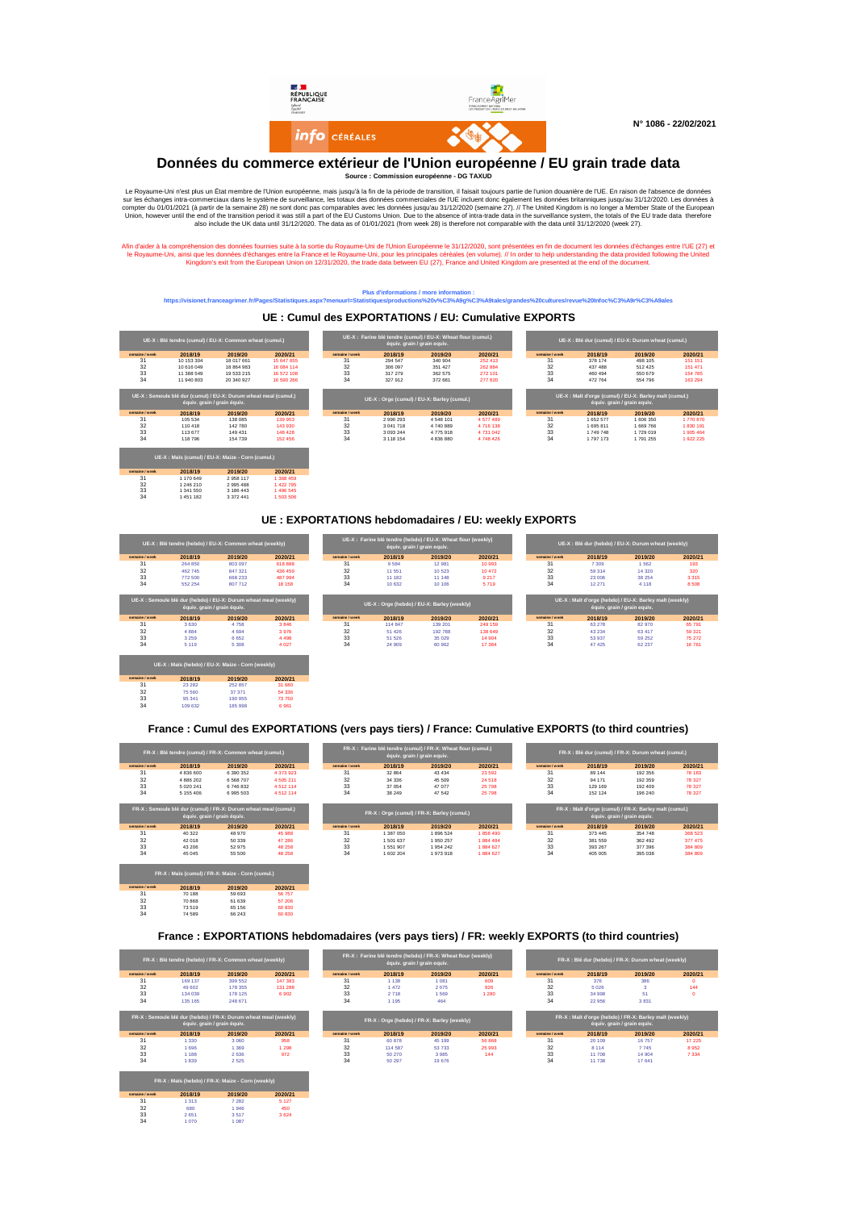

#### **Données du commerce extérieur de l'Union européenne / EU grain trade data**

**Source : Commission européenne - DG TAXUD**

Le Royaume-Uni n'est plus un Etat membre de l'Union européenne, mais jusqu'au strandien, il faisait toujours parie de l'UE incluent donc également les données britanniques jusqu'au 31/12/2020. Les données à tra-commerciaux

Afin d'aider à la compréhension des données fournies suite à la sortie du Royaume-Uni de l'Union Européenne le 31/12/2020, sont présentées en fin de document les données d'échanges entre l'UE (27) et<br>Ie Royaume-Uni, ainsi

### **Plus d'informations / more information : https://visionet.franceagrimer.fr/Pages/Statistiques.aspx?menuurl=Statistiques/productions%20v%C3%A9g%C3%A9tales/grandes%20cultures/revue%20Infoc%C3%A9r%C3%A9ales**

**UE : Cumul des EXPORTATIONS / EU: Cumulative EXPORTS**

|                |                             | UE-X : Blé tendre (cumul) / EU-X: Common wheat (cumul.)          |            |                |           | UE-X : Farine blé tendre (cumul) / EU-X: Wheat flour (cumul.)<br>équiv. grain / grain equiv. |           |                |           | UE-X : Blé dur (cumul) / EU-X: Durum wheat (cumul.)                                    |           |
|----------------|-----------------------------|------------------------------------------------------------------|------------|----------------|-----------|----------------------------------------------------------------------------------------------|-----------|----------------|-----------|----------------------------------------------------------------------------------------|-----------|
| semaine / week | 2018/19                     | 2019/20                                                          | 2020/21    | semaine / week | 2018/19   | 2019/20                                                                                      | 2020/21   | semaine / week | 2018/19   | 2019/20                                                                                | 2020/21   |
| 31             | 10 153 304                  | 18 017 661                                                       | 15 647 655 | 31             | 294 547   | 340 904                                                                                      | 252 413   | 31             | 378 174   | 498 105                                                                                | 151 151   |
| 32             | 10 616 049                  | 18 864 983                                                       | 16 084 114 | 32             | 306 097   | 351 427                                                                                      | 262 884   | 32             | 437 488   | 512 425                                                                                | 151 471   |
| 33             | 11 388 549                  | 19 533 215                                                       | 16.572.108 | 33             | 317 279   | 362 575                                                                                      | 272 101   | 33             | 460 494   | 550 679                                                                                | 154 785   |
| 34             | 11 940 803                  | 20 340 927                                                       | 16 590 266 | 34             | 327912    | 372 681                                                                                      | 277 820   | 34             | 472 764   | 554 796                                                                                | 163 294   |
|                | équiv. grain / grain équiv. | UE-X : Semoule blé dur (cumul) / EU-X: Durum wheat meal (cumul.) |            |                |           | UE-X : Orge (cumul) / EU-X: Barley (cumul.)                                                  |           |                |           | UE-X : Malt d'orge (cumul) / EU-X: Barley malt (cumul.)<br>équiv. grain / grain equiv. |           |
| semaine / week | 2018/19                     | 2019/20                                                          | 2020/21    | semaine / week | 2018/19   | 2019/20                                                                                      | 2020/21   | semaine / week | 2018/19   | 2019/20                                                                                | 2020/21   |
| 31             | 105 534                     | 138 085                                                          | 139 953    | 31             | 2990293   | 4548101                                                                                      | 4577489   | 31             | 1 652 577 | 1 606 350                                                                              | 1770 870  |
| 32             | 110 418                     | 142 780                                                          | 143 930    | 32             | 3 041 718 | 4740889                                                                                      | 4716138   | 32             | 1695811   | 1 669 766                                                                              | 1830 191  |
| 33             | 113 677                     | 149 431                                                          | 148 428    | 33             | 3 093 244 | 4775918                                                                                      | 4 731 042 | 33             | 1 749 748 | 1 729 019                                                                              | 1,905,464 |
| 34             | 118 796                     | 154 739                                                          | 152 456    | 34             | 3 118 154 | 4 836 880                                                                                    | 4748426   | 34             | 1797173   | 1791255                                                                                | 1922 225  |
|                |                             | UE-X : Maïs (cumul) / EU-X: Maize - Corn (cumul.)                |            |                |           |                                                                                              |           |                |           |                                                                                        |           |
| semaine / week | 2018/19                     | 2019/20                                                          | 2020/21    |                |           |                                                                                              |           |                |           |                                                                                        |           |
| 31             | 1 170 649                   | 2958117                                                          | 1 368 459  |                |           |                                                                                              |           |                |           |                                                                                        |           |
| 32             | 1 246 210                   | 2 9 9 5 4 8 8                                                    | 1422795    |                |           |                                                                                              |           |                |           |                                                                                        |           |
| 33             | 1 341 550                   | 3 186 443                                                        | 1496 545   |                |           |                                                                                              |           |                |           |                                                                                        |           |
| 34             | 1451182                     | 3 3 7 2 4 4 1                                                    | 1 503 506  |                |           |                                                                                              |           |                |           |                                                                                        |           |

#### **UE : EXPORTATIONS hebdomadaires / EU: weekly EXPORTS**

|                |         | UE-X : Blé tendre (hebdo) / EU-X: Common wheat (weekly)                                                    |         |                |         | UE-X : Farine blé tendre (hebdo) / EU-X: Wheat flour (weekly)<br>équiv. grain / grain equiv. |         |                | UE-X : Blé dur (hebdo) / EU-X: Durum wheat (weekly)               |                                        |         |
|----------------|---------|------------------------------------------------------------------------------------------------------------|---------|----------------|---------|----------------------------------------------------------------------------------------------|---------|----------------|-------------------------------------------------------------------|----------------------------------------|---------|
| semaine / week | 2018/19 | 2019/20                                                                                                    | 2020/21 | semaine / week | 2018/19 | 2019/20                                                                                      | 2020/21 | semaine / week | 2018/19                                                           | 2019/20                                | 2020/21 |
| 31             | 264 850 | 803 097                                                                                                    | 618 888 | 31             | 9584    | 12981                                                                                        | 10993   | 31             | 7 3 0 9                                                           | 1562                                   | 193     |
| 32             | 462 745 | 847 321                                                                                                    | 436 459 | 32             | 11 551  | 10 523                                                                                       | 10 472  | 32             | 59 314                                                            | 14 3 20                                | 320     |
| 33             | 772 500 | 668 233                                                                                                    | 487 994 | 33             | 11 182  | 11 148                                                                                       | 9 2 1 7 | 33             | 23 006                                                            | 38 254                                 | 3 3 1 5 |
| 34             | 552 254 | 807 712                                                                                                    | 18 15 8 | 34             | 10 632  | 10 10 6                                                                                      | 5.719   | 34             | 12 271                                                            | 4 1 1 8                                | 8 5 0 8 |
| semaine / week | 2018/19 | UE-X : Semoule blé dur (hebdo) / EU-X: Durum wheat meal (weekly)<br>équiv. grain / grain équiv.<br>2019/20 | 2020/21 | semaine / week | 2018/19 | UE-X: Orge (hebdo) / EU-X: Barley (weekly)<br>2019/20                                        | 2020/21 | semaine / week | UE-X: Malt d'orge (hebdo) / EU-X: Barley malt (weekly)<br>2018/19 | équiv. grain / grain equiv.<br>2019/20 | 2020/21 |
| 31             | 3 6 3 0 | 4758                                                                                                       | 3846    | 31             | 114 847 | 139 201                                                                                      | 249 159 | 31             | 63 278                                                            | 82970                                  | 65791   |
| 32             | 4 8 8 4 | 4 6 9 4                                                                                                    | 3 976   | 32             | 51 426  | 192 788                                                                                      | 138 649 | 32             | 43 2 34                                                           | 63 417                                 | 59 321  |
| 33             | 3 2 5 9 | 6 6 5 2                                                                                                    | 4 4 9 8 | 33             | 51 526  | 35 029                                                                                       | 14 904  | 33             | 53 937                                                            | 59 25 2                                | 75 272  |
| 34             | 5 1 1 9 | 5 3 0 8                                                                                                    | 4 0 27  | 34             | 24 909  | 60 962                                                                                       | 17 3 84 | 34             | 47 4 25                                                           | 62 237                                 | 16761   |
|                |         |                                                                                                            |         |                |         |                                                                                              |         |                |                                                                   |                                        |         |
|                |         | UE-X : Maïs (hebdo) / EU-X: Maize - Corn (weekly)                                                          |         |                |         |                                                                                              |         |                |                                                                   |                                        |         |

#### **France : Cumul des EXPORTATIONS (vers pays tiers) / France: Cumulative EXPORTS (to third countries)**

**semaine / week 2018/19 2019/20 2020/21** 31 23 282 252 857 31 680 32 75 560 37 371 54 336 33 95 341 190 955 73 750 34 109 632 185 998 6 961

**semaine / week <b>2018/19 2019/20 2020/21**<br>31 70 188 59 693 56 757<br>32 70 868 61 639 57 206<br>33 73 519 65 156 60 830 34 74 589 66 243 60 830

|                | FR-X : Blé tendre (cumul) / FR-X: Common wheat (cumul.)                       |                                          |                   |                |                      | FR-X : Farine blé tendre (cumul) / FR-X: Wheat flour (cumul.)<br>équiv. grain / grain equiv. |                    |                | FR-X : Blé dur (cumul) / FR-X: Durum wheat (cumul.)                |                             |
|----------------|-------------------------------------------------------------------------------|------------------------------------------|-------------------|----------------|----------------------|----------------------------------------------------------------------------------------------|--------------------|----------------|--------------------------------------------------------------------|-----------------------------|
| semaine / week | 2018/19                                                                       | 2019/20                                  | 2020/21           | semaine / week | 2018/19              | 2019/20                                                                                      | 2020/21            | semaine / week | 2018/19                                                            | 2019/20                     |
| 31             | 4 836 600                                                                     | 6 390 352                                | 4 373 923         | 31             | 32 864               | 43 4 34                                                                                      | 23 592             | 31             | 89 144                                                             | 192 356                     |
| 32             | 4 886 202                                                                     | 6 5 68 7 0 7                             | 4 505 211         | 32             | 34 336               | 45 509                                                                                       | 24 5 18            | 32             | 94 171                                                             | 192 359                     |
| 33             | 5 0 20 241                                                                    | 6746832                                  | 4512114           | 33             | 37 054               | 47 077                                                                                       | 25 798             | 33             | 129 169                                                            | 192 409                     |
|                |                                                                               |                                          |                   |                |                      |                                                                                              |                    |                |                                                                    |                             |
| 34             | 5 155 406<br>FR-X : Semoule blé dur (cumul) / FR-X: Durum wheat meal (cumul.) | 6 995 503<br>équiv. grain / grain équiv. | 4512114           | 34             | 38 249               | 47542<br>FR-X : Orge (cumul) / FR-X: Barley (cumul.)                                         | 25 798             | 34             | 152 124<br>FR-X : Malt d'orge (cumul) / FR-X: Barley malt (cumul.) | équiv. grain / grain equiv. |
| semaine / week |                                                                               |                                          |                   | semaine / week |                      |                                                                                              |                    | semaine / week |                                                                    | 196 240                     |
| 31             | 2018/19<br>40 322                                                             | 2019/20<br>48 970                        | 2020/21<br>45 988 | 31             | 2018/19<br>1 387 050 | 2019/20<br>1896 524                                                                          | 2020/21<br>1858490 | 31             | 2018/19<br>373 445                                                 | 2019/20<br>354 748          |
| 32             | 42 018                                                                        | 50 339                                   | 47 286            | 32             | 1501637              | 1950 257                                                                                     | 1884 484           | 32             | 381 559                                                            | 362 492                     |
| 33             | 43 206                                                                        | 52 975                                   | 48 258            | 33             | 1551907              | 1954 242                                                                                     | 1884 627           | 33             | 393 267                                                            | 377 396                     |

#### **France : EXPORTATIONS hebdomadaires (vers pays tiers) / FR: weekly EXPORTS (to third countries)**

|                |         | FR-X : Blé tendre (hebdo) / FR-X: Common wheat (weekly)                                         |         |                |         | FR-X : Farine blé tendre (hebdo) / FR-X: Wheat flour (weekly)<br>équiv. grain / grain equiv. |         |                |         | FR-X : Blé dur (hebdo) / FR-X: Durum wheat (weekly)                                   |           |
|----------------|---------|-------------------------------------------------------------------------------------------------|---------|----------------|---------|----------------------------------------------------------------------------------------------|---------|----------------|---------|---------------------------------------------------------------------------------------|-----------|
| semaine / week | 2018/19 | 2019/20                                                                                         | 2020/21 | semaine / week | 2018/19 | 2019/20                                                                                      | 2020/21 | semaine / week | 2018/19 | 2019/20                                                                               | 2020/21   |
| 31             | 169 137 | 399 552                                                                                         | 147 383 | 31             | 1 1 3 8 | 1 0 8 1                                                                                      | 609     | 31             | 376     | 386                                                                                   | $\bullet$ |
| 32             | 49 602  | 178 355                                                                                         | 131 288 | 32             | 1472    | 2075                                                                                         | 926     | 32             | 5 0 2 6 | 3                                                                                     | 144       |
| 33             | 134 039 | 178 125                                                                                         | 6902    | 33             | 2718    | 1569                                                                                         | 1 2 8 0 | 33             | 34 998  | 51                                                                                    | $\bullet$ |
| 34             | 135 165 | 248 671                                                                                         |         | 34             | 1 1 9 5 | 464                                                                                          |         | 34             | 22.956  | 3831                                                                                  |           |
|                |         | FR-X : Semoule blé dur (hebdo) / FR-X: Durum wheat meal (weekly)<br>équiv. grain / grain équiv. |         |                |         | FR-X: Orge (hebdo) / FR-X: Barley (weekly)                                                   |         |                |         | FR-X: Malt d'orge (hebdo) / FR-X: Barley malt (weekly)<br>équiv. grain / grain equiv. |           |
| semaine / week | 2018/19 | 2019/20                                                                                         | 2020/21 | semaine / week | 2018/19 | 2019/20                                                                                      | 2020/21 | semaine / week | 2018/19 | 2019/20                                                                               | 2020/21   |
| 31             | 1 3 3 0 | 3 0 6 0                                                                                         | 958     | 31             | 60 878  | 45 199                                                                                       | 56 868  | 31             | 20 109  | 16757                                                                                 | 17 2 2 5  |
| 32             | 1 6 9 6 | 1 3 6 9                                                                                         | 1 2 9 8 | 32             | 114 587 | 53733                                                                                        | 25 993  | 32             | 8 1 1 4 | 7745                                                                                  | 8952      |
| 33             | 1 1 8 8 | 2636                                                                                            | 972     | 33             | 50 270  | 3985                                                                                         | 144     | 33             | 11,708  | 14 904                                                                                | 7 3 3 4   |
| 34             | 1839    | 2525                                                                                            |         | 34             | 50 297  | 19676                                                                                        |         | 34             | 11738   | 17 641                                                                                |           |
|                |         | FR-X : Maïs (hebdo) / FR-X: Maize - Corn (weekly)                                               |         |                |         |                                                                                              |         |                |         |                                                                                       |           |
| semaine / week | 2018/19 | 2019/20                                                                                         | 2020/21 |                |         |                                                                                              |         |                |         |                                                                                       |           |
| 31             | 1 3 1 3 | 7 2 8 2                                                                                         | 5 1 2 7 |                |         |                                                                                              |         |                |         |                                                                                       |           |
| 32             | 680     | 1946                                                                                            | 450     |                |         |                                                                                              |         |                |         |                                                                                       |           |
| 33             | 2651    | 3517                                                                                            | 3624    |                |         |                                                                                              |         |                |         |                                                                                       |           |
| 34             | 1070    | 1 0 8 7                                                                                         |         |                |         |                                                                                              |         |                |         |                                                                                       |           |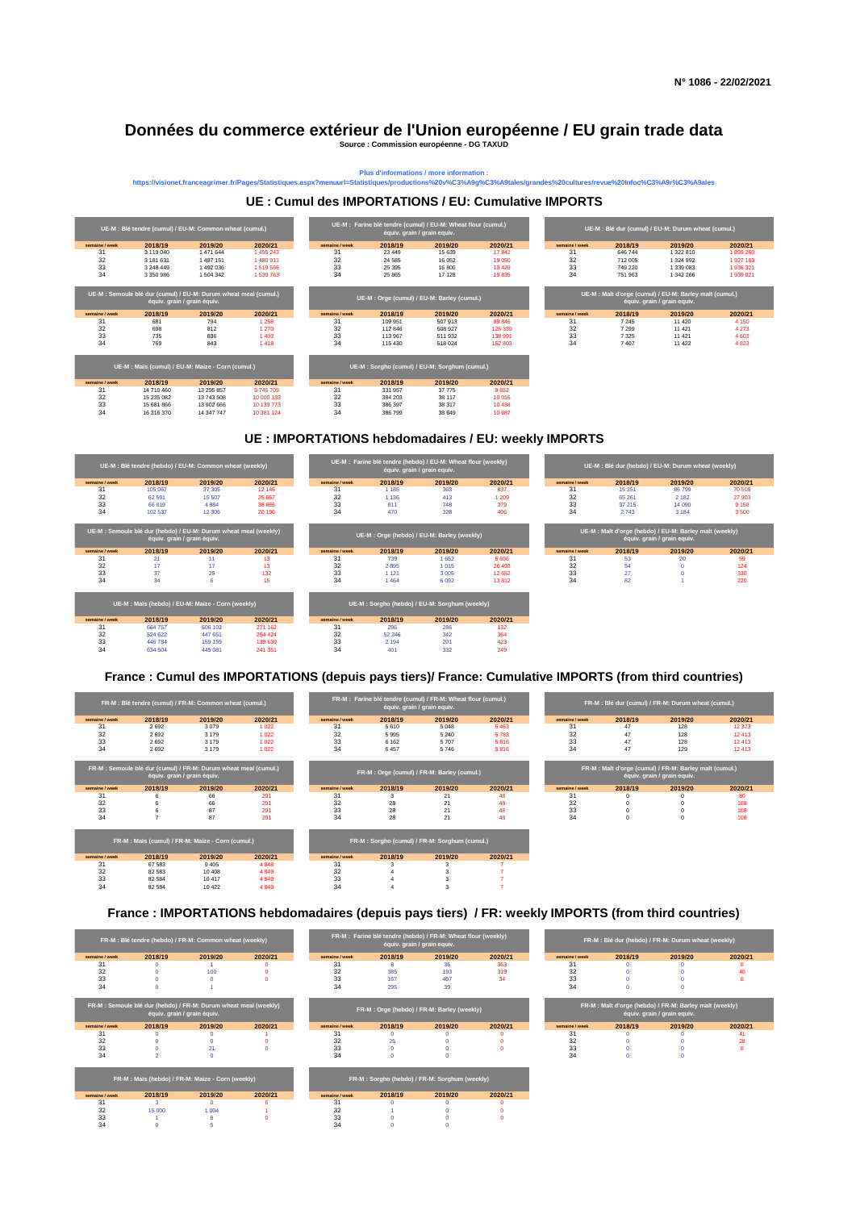## **Données du commerce extérieur de l'Union européenne / EU grain trade data**

**Source : Commission européenne - DG TAXUD**

Plus d'informations / more information :<br>https://visionet.franceagrimer.fr/Pages/Statistiques.aspx?menuurl=Statistiques/productions%20v%C3%A9g%C3%A9tales/grandes%20cultures/revue%20Infoc%C3%A9r%C3%A9ales

#### **UE : Cumul des IMPORTATIONS / EU: Cumulative IMPORTS**



#### **UE : IMPORTATIONS hebdomadaires / EU: weekly IMPORTS**



#### **France : Cumul des IMPORTATIONS (depuis pays tiers)/ France: Cumulative IMPORTS (from third countries)**

|                | FR-M : Blé tendre (cumul) / FR-M: Common wheat (cumul.)          |                             |         |                |         | FR-M : Farine blé tendre (cumul) / FR-M: Wheat flour (cumul.)<br>équiv. grain / grain equiv. |         |                |          | FR-M : Blé dur (cumul) / FR-M: Durum wheat (cumul.)                                   |         |
|----------------|------------------------------------------------------------------|-----------------------------|---------|----------------|---------|----------------------------------------------------------------------------------------------|---------|----------------|----------|---------------------------------------------------------------------------------------|---------|
| semaine / week | 2018/19                                                          | 2019/20                     | 2020/21 | semaine / week | 2018/19 | 2019/20                                                                                      | 2020/21 | semaine / week | 2018/19  | 2019/20                                                                               | 2020/21 |
| 31             | 2692                                                             | 3079                        | 1022    | 31             | 5 6 1 0 | 5 0 4 8                                                                                      | 5 4 6 3 | 31             | 47       | 128                                                                                   | 12373   |
| 32             | 2692                                                             | 3 1 7 9                     | 1022    | 32             | 5995    | 5 2 4 0                                                                                      | 5783    | 32             | 47       | 128                                                                                   | 12413   |
| 33             | 2692                                                             | 3 1 7 9                     | 1022    | 33             | 6 1 6 2 | 5707                                                                                         | 5816    | 33             | 47       | 128                                                                                   | 12413   |
| 34             | 2692                                                             | 3 1 7 9                     | 1022    | 34             | 6457    | 5746                                                                                         | 5816    | 34             | 47       | 129                                                                                   | 12413   |
|                | FR-M : Semoule blé dur (cumul) / FR-M: Durum wheat meal (cumul.) | équiv. grain / grain équiv. |         |                |         | FR-M : Orge (cumul) / FR-M: Barley (cumul.)                                                  |         |                |          | FR-M: Malt d'orge (cumul) / FR-M: Barley malt (cumul.)<br>équiv. grain / grain equiv. |         |
| semaine / week | 2018/19                                                          | 2019/20                     | 2020/21 | semaine / week | 2018/19 | 2019/20                                                                                      | 2020/21 | semaine / week | 2018/19  | 2019/20                                                                               | 2020/21 |
| 31             |                                                                  | 66                          | 291     | 31             | з       | 21                                                                                           | 48      | 31             |          |                                                                                       | 80      |
| 32             |                                                                  | 66                          | 291     | 32             | 28      | 21                                                                                           | 48      | 32             |          |                                                                                       | 108     |
| 33             |                                                                  | 87                          | 291     | 33             | 28      | 21                                                                                           | 48      | 33             |          |                                                                                       | 108     |
| 34             |                                                                  | 87                          | 291     | 34             | 28      | 21                                                                                           | 48      | 34             | $\Omega$ | $\Omega$                                                                              | 108     |
|                |                                                                  |                             |         |                |         |                                                                                              |         |                |          |                                                                                       |         |
|                | FR-M : Maïs (cumul) / FR-M: Maize - Corn (cumul.)                |                             |         |                |         | FR-M: Sorgho (cumul) / FR-M: Sorghum (cumul.)                                                |         |                |          |                                                                                       |         |
| semaine / week | 2018/19                                                          | 2019/20                     | 2020/21 | semaine / week | 2018/19 | 2019/20                                                                                      | 2020/21 |                |          |                                                                                       |         |
| 31             | 67 583                                                           | 9 4 0 5                     | 4848    | 31             |         |                                                                                              |         |                |          |                                                                                       |         |
| 32             | 82 5 83                                                          | 10 40 8                     | 4849    | 32             |         |                                                                                              |         |                |          |                                                                                       |         |
| 33             | 82 5 84                                                          | 10417                       | 4849    | 33             |         |                                                                                              |         |                |          |                                                                                       |         |

**France : IMPORTATIONS hebdomadaires (depuis pays tiers) / FR: weekly IMPORTS (from third countries)**

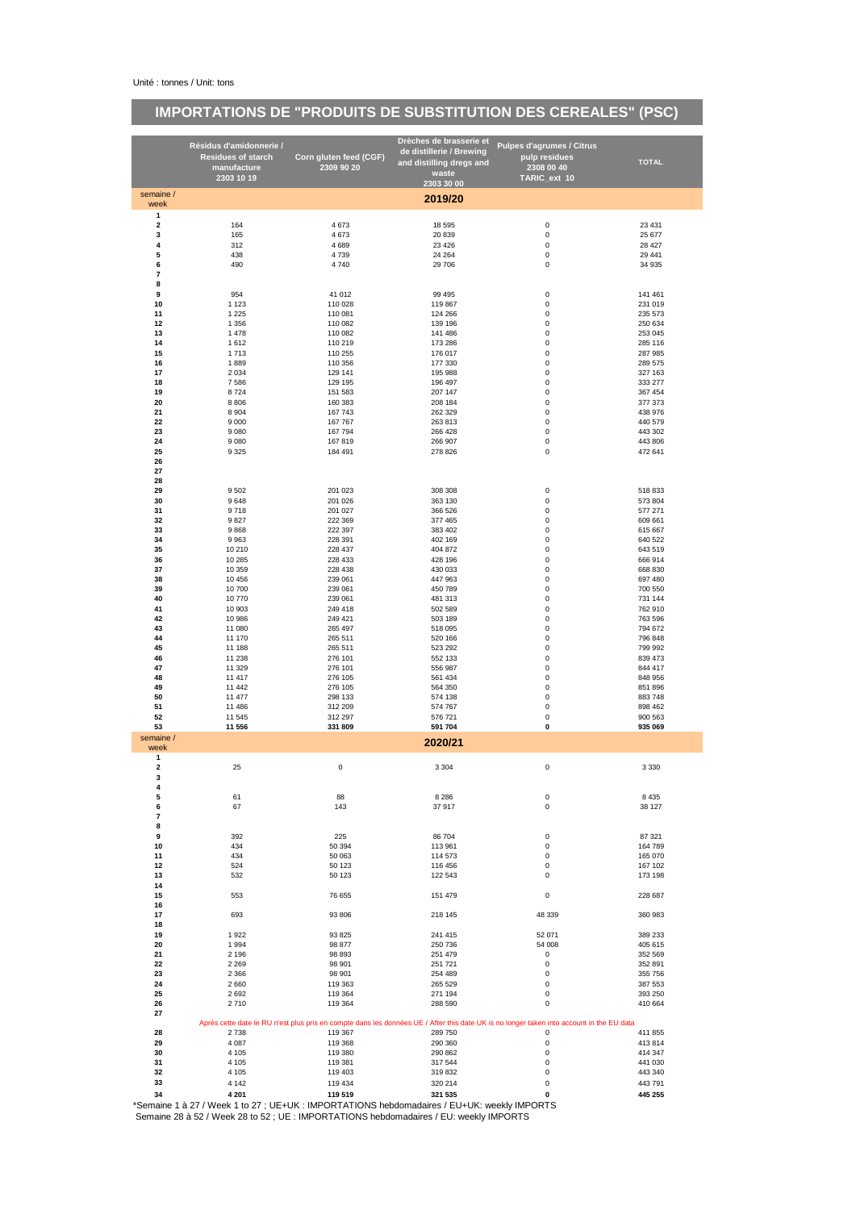# **IMPORTATIONS DE "PRODUITS DE SUBSTITUTION DES CEREALES" (PSC)**

|                         |                                          |                                      | Drèches de brasserie et  |                                                                                                                                          |                    |
|-------------------------|------------------------------------------|--------------------------------------|--------------------------|------------------------------------------------------------------------------------------------------------------------------------------|--------------------|
|                         | Résidus d'amidonnerie /                  |                                      | de distillerie / Brewing | <b>Pulpes d'agrumes / Citrus</b>                                                                                                         |                    |
|                         | <b>Residues of starch</b><br>manufacture | Corn gluten feed (CGF)<br>2309 90 20 | and distilling dregs and | pulp residues<br>2308 00 40                                                                                                              | <b>TOTAL</b>       |
|                         | 2303 10 19                               |                                      | waste                    | TARIC_ext 10                                                                                                                             |                    |
|                         |                                          |                                      | 2303 30 00               |                                                                                                                                          |                    |
| semaine /<br>week       |                                          |                                      | 2019/20                  |                                                                                                                                          |                    |
| 1                       |                                          |                                      |                          |                                                                                                                                          |                    |
| $\overline{\mathbf{2}}$ | 164                                      | 4 6 7 3                              | 18 5 95                  | 0                                                                                                                                        | 23 4 31            |
| 3                       | 165                                      | 4 6 7 3                              | 20 839                   | 0                                                                                                                                        | 25 677             |
| $\pmb{4}$<br>5          | 312                                      | 4 6 8 9                              | 23 4 26                  | 0                                                                                                                                        | 28 4 27            |
| 6                       | 438<br>490                               | 4 7 3 9<br>4 7 4 0                   | 24 264<br>29 706         | 0<br>0                                                                                                                                   | 29 441<br>34 935   |
| $\overline{\mathbf{r}}$ |                                          |                                      |                          |                                                                                                                                          |                    |
| 8                       |                                          |                                      |                          |                                                                                                                                          |                    |
| 9                       | 954                                      | 41 012                               | 99 4 95                  | 0                                                                                                                                        | 141 461            |
| 10                      | 1 1 2 3                                  | 110 028                              | 119 867                  | 0                                                                                                                                        | 231 019            |
| 11<br>12                | 1 2 2 5<br>1 3 5 6                       | 110 081<br>110 082                   | 124 266<br>139 196       | 0<br>0                                                                                                                                   | 235 573<br>250 634 |
| 13                      | 1 4 7 8                                  | 110 082                              | 141 486                  | 0                                                                                                                                        | 253 045            |
| 14                      | 1612                                     | 110 219                              | 173 286                  | 0                                                                                                                                        | 285 116            |
| 15                      | 1713                                     | 110 255                              | 176 017                  | 0                                                                                                                                        | 287 985            |
| 16                      | 1889                                     | 110 356                              | 177 330                  | 0                                                                                                                                        | 289 575            |
| 17<br>18                | 2 0 3 4                                  | 129 141                              | 195 988                  | 0<br>0                                                                                                                                   | 327 163            |
| 19                      | 7586<br>8724                             | 129 195<br>151 583                   | 196 497<br>207 147       | 0                                                                                                                                        | 333 277<br>367 454 |
| 20                      | 8806                                     | 160 383                              | 208 184                  | 0                                                                                                                                        | 377 373            |
| 21                      | 8 9 0 4                                  | 167 743                              | 262 329                  | 0                                                                                                                                        | 438 976            |
| 22                      | 9 0 0 0                                  | 167 767                              | 263 813                  | 0                                                                                                                                        | 440 579            |
| 23                      | 9 0 8 0                                  | 167 794                              | 266 428                  | 0                                                                                                                                        | 443 302            |
| 24<br>25                | 9 0 8 0<br>9 3 2 5                       | 167 819<br>184 491                   | 266 907<br>278 826       | 0<br>0                                                                                                                                   | 443 806<br>472 641 |
| 26                      |                                          |                                      |                          |                                                                                                                                          |                    |
| 27                      |                                          |                                      |                          |                                                                                                                                          |                    |
| 28                      |                                          |                                      |                          |                                                                                                                                          |                    |
| 29                      | 9 5 0 2                                  | 201 023                              | 308 308                  | 0                                                                                                                                        | 518 833            |
| 30                      | 9648                                     | 201 026                              | 363 130                  | 0                                                                                                                                        | 573 804            |
| 31<br>32                | 9718<br>9827                             | 201 027<br>222 369                   | 366 526<br>377 465       | 0<br>0                                                                                                                                   | 577 271<br>609 661 |
| 33                      | 9868                                     | 222 397                              | 383 402                  | 0                                                                                                                                        | 615 667            |
| 34                      | 9963                                     | 228 391                              | 402 169                  | 0                                                                                                                                        | 640 522            |
| 35                      | 10 210                                   | 228 437                              | 404 872                  | 0                                                                                                                                        | 643 519            |
| 36                      | 10 285                                   | 228 433                              | 428 196                  | 0                                                                                                                                        | 666 914            |
| 37<br>38                | 10 359                                   | 228 438                              | 430 033                  | 0<br>0                                                                                                                                   | 668 830            |
| 39                      | 10 456<br>10 700                         | 239 061<br>239 061                   | 447 963<br>450 789       | 0                                                                                                                                        | 697 480<br>700 550 |
| 40                      | 10 770                                   | 239 061                              | 481 313                  | 0                                                                                                                                        | 731 144            |
| 41                      | 10 903                                   | 249 418                              | 502 589                  | 0                                                                                                                                        | 762 910            |
| 42                      | 10 986                                   | 249 421                              | 503 189                  | 0                                                                                                                                        | 763 596            |
| 43                      | 11 080                                   | 265 497                              | 518 095                  | 0                                                                                                                                        | 794 672            |
| 44<br>45                | 11 170<br>11 188                         | 265 511<br>265 511                   | 520 166<br>523 292       | 0<br>0                                                                                                                                   | 796 848<br>799 992 |
| 46                      | 11 238                                   | 276 101                              | 552 133                  | 0                                                                                                                                        | 839 473            |
| 47                      | 11 329                                   | 276 101                              | 556 987                  | 0                                                                                                                                        | 844 417            |
| 48                      | 11 417                                   | 276 105                              | 561 434                  | 0                                                                                                                                        | 848 956            |
| 49                      | 11 442                                   | 276 105                              | 564 350                  | 0                                                                                                                                        | 851 896            |
| 50<br>51                | 11 477<br>11 486                         | 298 133<br>312 209                   | 574 138<br>574 767       | 0<br>0                                                                                                                                   | 883 748<br>898 462 |
| 52                      | 11 545                                   | 312 297                              | 576 721                  | 0                                                                                                                                        | 900 563            |
| 53                      | 11 556                                   | 331 809                              | 591 704                  | 0                                                                                                                                        | 935 069            |
| semaine /               |                                          |                                      | 2020/21                  |                                                                                                                                          |                    |
| week<br>1               |                                          |                                      |                          |                                                                                                                                          |                    |
| $\mathbf 2$             | 25                                       | 0                                    | 3 3 0 4                  | 0                                                                                                                                        | 3 3 3 0            |
| 3                       |                                          |                                      |                          |                                                                                                                                          |                    |
| 4                       |                                          |                                      |                          |                                                                                                                                          |                    |
| 5<br>6                  | 61<br>67                                 | 88<br>143                            | 8 2 8 6<br>37917         | 0<br>0                                                                                                                                   | 8 4 3 5            |
| $\overline{7}$          |                                          |                                      |                          |                                                                                                                                          | 38 127             |
| 8                       |                                          |                                      |                          |                                                                                                                                          |                    |
| 9                       | 392                                      | 225                                  | 86 704                   | 0                                                                                                                                        | 87 321             |
| 10                      | 434                                      | 50 394                               | 113 961                  | 0                                                                                                                                        | 164 789            |
| 11<br>12                | 434<br>524                               | 50 063<br>50 123                     | 114 573<br>116 456       | 0<br>0                                                                                                                                   | 165 070<br>167 102 |
| 13                      | 532                                      | 50 123                               | 122 543                  | 0                                                                                                                                        | 173 198            |
| 14                      |                                          |                                      |                          |                                                                                                                                          |                    |
| 15                      | 553                                      | 76 655                               | 151 479                  | 0                                                                                                                                        | 228 687            |
| 16                      |                                          |                                      |                          |                                                                                                                                          |                    |
| 17<br>18                | 693                                      | 93 806                               | 218 145                  | 48 339                                                                                                                                   | 360 983            |
| 19                      | 1922                                     | 93 825                               | 241 415                  | 52 071                                                                                                                                   | 389 233            |
| 20                      | 1 9 9 4                                  | 98 877                               | 250 736                  | 54 008                                                                                                                                   | 405 615            |
| 21                      | 2 1 9 6                                  | 98 893                               | 251 479                  | 0                                                                                                                                        | 352 569            |
| 22                      | 2 2 6 9                                  | 98 901                               | 251 721                  | 0                                                                                                                                        | 352 891            |
| 23<br>24                | 2 3 6 6<br>2 6 6 0                       | 98 901<br>119 363                    | 254 489<br>265 529       | 0<br>0                                                                                                                                   | 355 756<br>387 553 |
| 25                      | 2 6 9 2                                  | 119 364                              | 271 194                  | 0                                                                                                                                        | 393 250            |
| 26                      | 2710                                     | 119 364                              | 288 590                  | 0                                                                                                                                        | 410 664            |
| 27                      |                                          |                                      |                          |                                                                                                                                          |                    |
|                         |                                          |                                      |                          | Après cette date le RU n'est plus pris en compte dans les données UE / After this date UK is no longer taken into account in the EU data |                    |
| 28<br>29                | 2 7 3 8<br>4 0 8 7                       | 119 367<br>119 368                   | 289 750<br>290 360       | 0<br>0                                                                                                                                   | 411 855<br>413 814 |
| 30                      | 4 1 0 5                                  | 119 380                              | 290 862                  | 0                                                                                                                                        | 414 347            |
| 31                      | 4 1 0 5                                  | 119 381                              | 317 544                  | 0                                                                                                                                        | 441 030            |
| 32                      | 4 1 0 5                                  | 119 403                              | 319 832                  | 0                                                                                                                                        | 443 340            |
| 33                      | 4 1 4 2                                  | 119 434                              | 320 214                  | 0                                                                                                                                        | 443 791            |
| 34                      | 4 2 0 1                                  | 119 519                              | 321 535                  | 0                                                                                                                                        | 445 255            |

**34 4 201 119 519 321 535 0 445 255** \*Semaine 1 à 27 / Week 1 to 27 ; UE+UK : IMPORTATIONS hebdomadaires / EU+UK: weekly IMPORTS Semaine 28 à 52 / Week 28 to 52 ; UE : IMPORTATIONS hebdomadaires / EU: weekly IMPORTS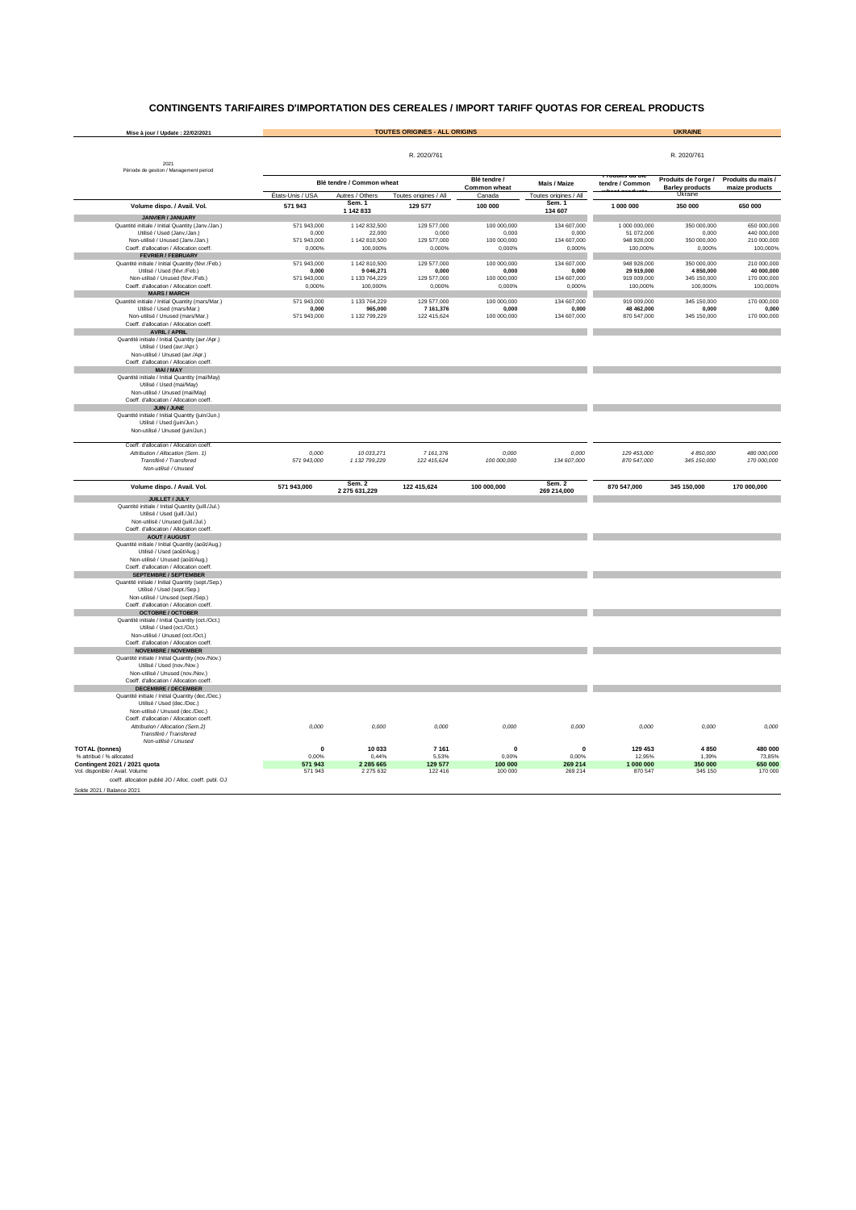#### **CONTINGENTS TARIFAIRES D'IMPORTATION DES CEREALES / IMPORT TARIFF QUOTAS FOR CEREAL PRODUCTS**

| Mise à jour / Update : 22/02/2021                                                       |                       |                            | <b>TOUTES ORIGINES - ALL ORIGINS</b> |                              |                                 |                           | <b>UKRAINE</b>                                 |                                      |
|-----------------------------------------------------------------------------------------|-----------------------|----------------------------|--------------------------------------|------------------------------|---------------------------------|---------------------------|------------------------------------------------|--------------------------------------|
|                                                                                         |                       |                            |                                      |                              |                                 |                           |                                                |                                      |
| 2021                                                                                    |                       |                            | R. 2020/761                          |                              |                                 |                           | R. 2020/761                                    |                                      |
| Période de gestion / Management period                                                  |                       |                            |                                      |                              |                                 | r rouuns uu pie           |                                                |                                      |
|                                                                                         |                       | Blé tendre / Common wheat  |                                      | Blé tendre /<br>Common wheat | Maïs / Maize                    | tendre / Common           | Produits de l'orge /<br><b>Barley products</b> | Produits du maïs /<br>maize products |
|                                                                                         | États-Unis / USA      | Autres / Others<br>Sem. 1  | Toutes origines / All                | Canada                       | Toutes origines / All<br>Sem. 1 |                           | Ukraine                                        |                                      |
| Volume dispo. / Avail. Vol.                                                             | 571 943               | 1 142 833                  | 129 577                              | 100 000                      | 134 607                         | 1 000 000                 | 350 000                                        | 650 000                              |
| JANVIER / JANUARY<br>Quantité initiale / Initial Quantity (Janv./Jan.)                  | 571 943,000           | 1 142 832,500              | 129 577,000                          | 100 000,000                  | 134 607,000                     | 1 000 000,000             | 350 000,000                                    | 650 000,000                          |
| Utilisé / Used (Janv./Jan.)                                                             | 0,000                 | 22,000                     | 0,000                                | 0,000                        | 0,000                           | 51 072,000                | 0,000                                          | 440 000,000                          |
| Non-utilisé / Unused (Janv./Jan.)<br>Coeff. d'allocation / Allocation coeff.            | 571 943,000<br>0.000% | 1 142 810,500<br>100.000%  | 129 577,000<br>0.000%                | 100 000,000<br>0.000%        | 134 607,000<br>0.000%           | 948 928,000<br>100,000%   | 350 000,000<br>0,000%                          | 210 000,000<br>100,000%              |
| <b>FEVRIER / FEBRUARY</b>                                                               |                       |                            |                                      |                              |                                 |                           |                                                |                                      |
| Quantité initiale / Initial Quantity (févr./Feb.)                                       | 571 943,000           | 1 142 810,500              | 129 577,000                          | 100 000,000                  | 134 607,000                     | 948 928 000               | 350,000,000                                    | 210 000,000                          |
| Utilisé / Used (févr./Feb.)<br>Non-utilisé / Unused (févr./Feb.)                        | 0,000<br>571 943,000  | 9 046,271<br>1 133 764,229 | 0,000<br>129 577,000                 | 0,000<br>100 000,000         | 0,000<br>134 607,000            | 29 919,000<br>919 009,000 | 4 850,000<br>345 150,000                       | 40 000,000<br>170 000,000            |
| Coeff, d'allocation / Allocation coeff                                                  | 0,000%                | 100,000%                   | 0.000%                               | 0,000%                       | 0,000%                          | 100,000%                  | 100,000%                                       | 100,000%                             |
| <b>MARS / MARCH</b><br>Quantité initiale / Initial Quantity (mars/Mar.)                 | 571 943,000           | 1 133 764,229              | 129 577,000                          | 100 000,000                  | 134 607,000                     | 919 009,000               | 345 150,000                                    | 170 000,000                          |
| Utilisé / Used (mars/Mar.)                                                              | 0,000                 | 965,000                    | 7 161.376                            | 0,000                        | 0.000                           | 48 462,000                | 0,000                                          | 0,000                                |
| Non-utilisé / Unused (mars/Mar.)                                                        | 571 943,000           | 1 132 799,229              | 122 415,624                          | 100 000,000                  | 134 607,000                     | 870 547,000               | 345 150,000                                    | 170 000,000                          |
| Coeff. d'allocation / Allocation coeff.<br><b>AVRIL / APRIL</b>                         |                       |                            |                                      |                              |                                 |                           |                                                |                                      |
| Quantité initiale / Initial Quantity (avr./Apr.)                                        |                       |                            |                                      |                              |                                 |                           |                                                |                                      |
| Utilisé / Used (avr./Apr.)                                                              |                       |                            |                                      |                              |                                 |                           |                                                |                                      |
| Non-utilisé / Unused (avr./Apr.)<br>Coeff. d'allocation / Allocation coeff.             |                       |                            |                                      |                              |                                 |                           |                                                |                                      |
| MAI/MAY                                                                                 |                       |                            |                                      |                              |                                 |                           |                                                |                                      |
| Quantité initiale / Initial Quantity (mai/May)<br>Utilisé / Used (mai/May)              |                       |                            |                                      |                              |                                 |                           |                                                |                                      |
| Non-utilisé / Unused (mai/May)                                                          |                       |                            |                                      |                              |                                 |                           |                                                |                                      |
| Coeff. d'allocation / Allocation coeff.                                                 |                       |                            |                                      |                              |                                 |                           |                                                |                                      |
| JUIN / JUNE<br>Quantité initiale / Initial Quantity (juin/Jun.)                         |                       |                            |                                      |                              |                                 |                           |                                                |                                      |
| Utilisé / Used (juin/Jun.)                                                              |                       |                            |                                      |                              |                                 |                           |                                                |                                      |
| Non-utilisé / Unused (juin/Jun.)                                                        |                       |                            |                                      |                              |                                 |                           |                                                |                                      |
| Coeff. d'allocation / Allocation coeff.                                                 |                       |                            |                                      |                              |                                 |                           |                                                |                                      |
| Attribution / Allocation (Sem. 1)                                                       | 0,000                 | 10 033,271                 | 7 161,376                            | 0.000                        | 0.000                           | 129 453,000               | 4 850,000                                      | 480 000,000                          |
| Transféré / Transfered<br>Non-utilisé / Unused                                          | 571 943,000           | 1 132 799,229              | 122 415,624                          | 100 000,000                  | 134 607,000                     | 870 547,000               | 345 150,000                                    | 170 000,000                          |
|                                                                                         |                       |                            |                                      |                              |                                 |                           |                                                |                                      |
| Volume dispo. / Avail. Vol.                                                             | 571 943,000           | Sem. 2<br>2 275 631,229    | 122 415,624                          | 100 000,000                  | Sem. 2<br>269 214,000           | 870 547,000               | 345 150,000                                    | 170 000,000                          |
| <b>JUILLET / JULY</b><br>Quantité initiale / Initial Quantity (juill./Jul.)             |                       |                            |                                      |                              |                                 |                           |                                                |                                      |
| Utilisé / Used (juill./Jul.)                                                            |                       |                            |                                      |                              |                                 |                           |                                                |                                      |
| Non-utilisé / Unused (juill./Jul.)                                                      |                       |                            |                                      |                              |                                 |                           |                                                |                                      |
| Coeff. d'allocation / Allocation coeff.<br><b>AOUT / AUGUST</b>                         |                       |                            |                                      |                              |                                 |                           |                                                |                                      |
| Quantité initiale / Initial Quantity (août/Aug.)                                        |                       |                            |                                      |                              |                                 |                           |                                                |                                      |
| Utilisé / Used (août/Aug.)                                                              |                       |                            |                                      |                              |                                 |                           |                                                |                                      |
| Non-utilisé / Unused (août/Aug.)<br>Coeff. d'allocation / Allocation coeff              |                       |                            |                                      |                              |                                 |                           |                                                |                                      |
| <b>SEPTEMBRE / SEPTEMBER</b>                                                            |                       |                            |                                      |                              |                                 |                           |                                                |                                      |
| Quantité initiale / Initial Quantity (sept./Sep.)<br>Utilisé / Used (sept./Sep.)        |                       |                            |                                      |                              |                                 |                           |                                                |                                      |
| Non-utilisé / Unused (sept./Sep.)                                                       |                       |                            |                                      |                              |                                 |                           |                                                |                                      |
| Coeff. d'allocation / Allocation coeff                                                  |                       |                            |                                      |                              |                                 |                           |                                                |                                      |
| <b>OCTOBRE / OCTOBER</b><br>Quantité initiale / Initial Quantity (oct./Oct.)            |                       |                            |                                      |                              |                                 |                           |                                                |                                      |
| Utilisé / Used (oct./Oct.)                                                              |                       |                            |                                      |                              |                                 |                           |                                                |                                      |
| Non-utilisé / Unused (oct./Oct.)<br>Coeff. d'allocation / Allocation coeff.             |                       |                            |                                      |                              |                                 |                           |                                                |                                      |
| <b>NOVEMBRE / NOVEMBER</b>                                                              |                       |                            |                                      |                              |                                 |                           |                                                |                                      |
| Quantité initiale / Initial Quantity (nov./Nov.)                                        |                       |                            |                                      |                              |                                 |                           |                                                |                                      |
| Utilisé / Used (nov./Nov.)<br>Non-utilisé / Unused (nov /Nov.)                          |                       |                            |                                      |                              |                                 |                           |                                                |                                      |
| Coeff. d'allocation / Allocation coeff                                                  |                       |                            |                                      |                              |                                 |                           |                                                |                                      |
| <b>DECEMBRE / DECEMBER</b>                                                              |                       |                            |                                      |                              |                                 |                           |                                                |                                      |
| Quantité initiale / Initial Quantity (dec./Dec.)<br>Utilisé / Used (dec./Dec.)          |                       |                            |                                      |                              |                                 |                           |                                                |                                      |
| Non-utilisé / Unused (dec./Dec.)                                                        |                       |                            |                                      |                              |                                 |                           |                                                |                                      |
| Coeff. d'allocation / Allocation coeff.<br>Attribution / Allocation (Sem.2)             | 0,000                 | 0,000                      | 0,000                                | 0,000                        | 0.000                           | 0,000                     | 0,000                                          | 0,000                                |
| Transféré / Transfered                                                                  |                       |                            |                                      |                              |                                 |                           |                                                |                                      |
| Non-utilisé / Unused                                                                    |                       |                            |                                      |                              |                                 |                           |                                                |                                      |
| <b>TOTAL (tonnes)</b><br>% attribué / % allocated                                       | $\mathbf 0$<br>0.00%  | 10 033<br>0.44%            | 7 1 6 1<br>5.53%                     | $\Omega$<br>0.00%            | $\mathbf 0$<br>0.00%            | 129 453<br>12,95%         | 4 8 5 0<br>1.39%                               | 480 000<br>73,85%                    |
| Contingent 2021 / 2021 quota                                                            | 571 943               | 2 2 8 5 6 6 5              | 129 577                              | 100 000                      | 269 214                         | 1 000 000                 | 350 000                                        | 650 000                              |
| Vol. disponible / Avail. Volume<br>coeff. allocation publié JO / Alloc. coeff. publ. OJ | 571 943               | 2 275 632                  | 122 416                              | 100 000                      | 269 214                         | 870 547                   | 345 150                                        | 170 000                              |
| Solde 2021 / Balance 2021                                                               |                       |                            |                                      |                              |                                 |                           |                                                |                                      |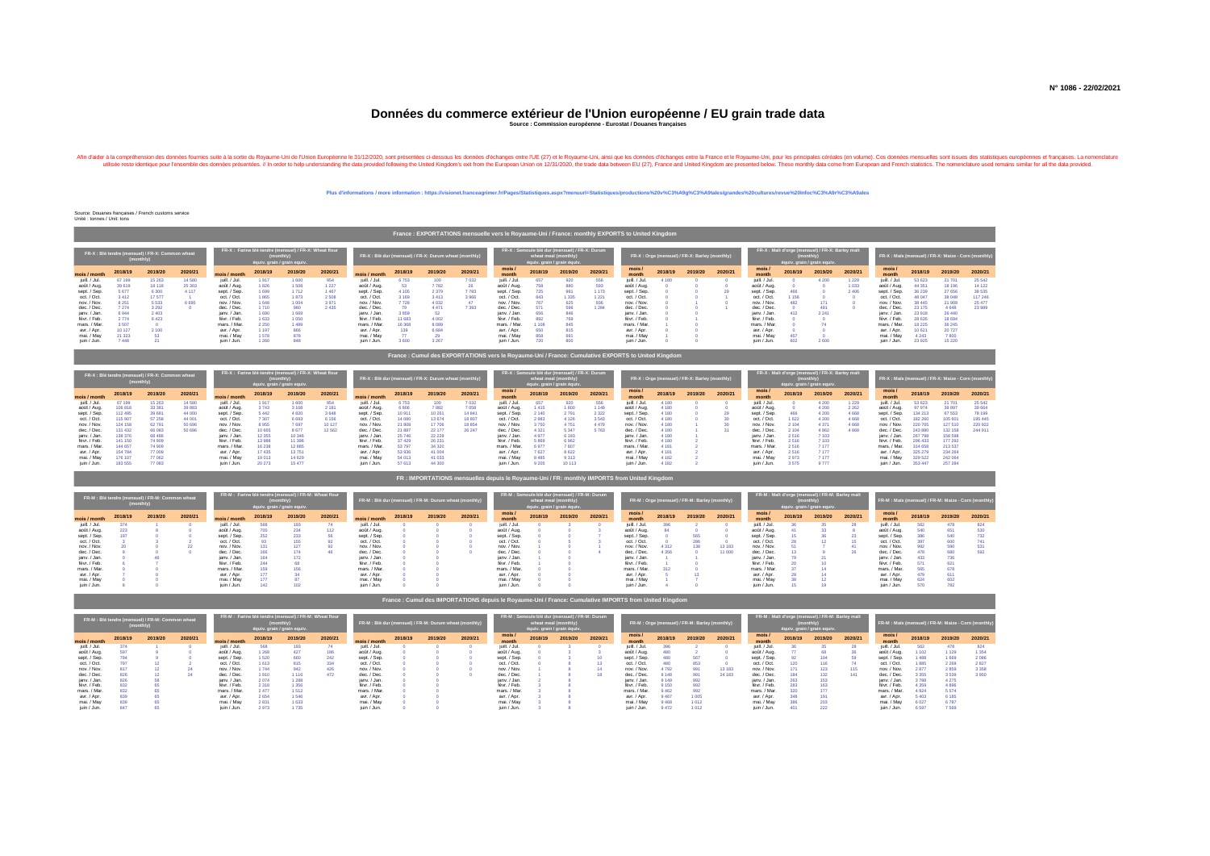### **Données du commerce extérieur de l'Union européenne / EU grain trade data Source : Commission européenne - Eurostat / Douanes françaises**

Alind discuss the mail of the state in the state in the state of the state of the state of the state of the state of the state of the state of the state of the state of the state of the state of the state of the state of t

#### **Plus d'informations / more information : https://visionet.franceagrimer.fr/Pages/Statistiques.aspx?menuurl=Statistiques/productions%20v%C3%A9g%C3%A9tales/grandes%20cultures/revue%20Infoc%C3%A9r%C3%A9ales**

Source: Douanes françaises / French customs service Unité : tonnes / Unit: tons

|               |         |                                                             |          |               |         |                                                                                                   |         |                                                        |         |         |         | France: EXPORTATIONS mensuelle vers le Royaume-Uni / France: monthly EXPORTS to United Kingdom |                             |                                                                        |         |               |         |                                               |         |                |                                                                                           |         |         |                                                     |          |          |         |
|---------------|---------|-------------------------------------------------------------|----------|---------------|---------|---------------------------------------------------------------------------------------------------|---------|--------------------------------------------------------|---------|---------|---------|------------------------------------------------------------------------------------------------|-----------------------------|------------------------------------------------------------------------|---------|---------------|---------|-----------------------------------------------|---------|----------------|-------------------------------------------------------------------------------------------|---------|---------|-----------------------------------------------------|----------|----------|---------|
|               |         | FR-X : Blé tendre (mensuel) / FR-X: Common wheat<br>monthly |          |               |         | FR-X : Farine blé tendre (mensuel) / FR-X: Wheat flour<br>(monthly<br>équiv. grain / grain equiv. |         | FR-X : Blé dur (mensuel) / FR-X: Durum wheat (monthly) |         |         |         |                                                                                                | équiv. grain / grain équiv. | FR-X : Semoule blé dur (mensuel) / FR-X: Durum<br>wheat meal (monthly) |         |               |         | FR-X: Orge (mensuel) / FR-X: Barley (monthly) |         |                | FR-X: Malt d'orge (mensuel) / FR-X: Barley malt<br>monthly<br>équiv. grain / grain equiv. |         |         | FR-X: Maïs (mensuel) / FR-X: Maize - Corn (monthly) |          |          |         |
| mois / month  | 2018/19 | 2019/20                                                     | 2020/21  | mois / month  | 2018/19 | 2019/20                                                                                           | 2020/21 | mois / month                                           | 2018/19 | 2019/20 | 2020/21 | mois.<br>month                                                                                 | 2018/19                     | 2019/20                                                                | 2020/21 | mois<br>month | 2018/19 | 2019/20                                       | 2020/21 | mois.<br>month | 2018/19                                                                                   | 2019/20 | 2020/21 | mois.<br>month                                      | 2018/19  | 2019/20  | 2020/21 |
| juill, / Jul. | 67 199  | 15 2 6 3                                                    | 14 5 8 0 | juill, / Jul. | 1.917   | 1 600                                                                                             | 954     | juill, / Jul.                                          | 6 7 5 3 | 100     | 7032    | juill, / Jul.                                                                                  | 657                         | 920                                                                    | 556     | juill, / Jul. | 4.180   |                                               |         | juill, / Jul.  |                                                                                           | 4 2 0 0 | 1 2 2 9 | juill, / Jul.                                       | 53 623   | 21 701   | 25 542  |
| août / Aug.   | 39 619  | 18 11 8                                                     | 25 30 3  | août / Aug.   | 1826    | 1 508                                                                                             | 1 2 2 7 | août / Aug.                                            | 53.     | 7782    | 26      | août / Aug.                                                                                    | 758                         | 880                                                                    | 593     | août / Aug.   |         |                                               |         | août / Aug.    |                                                                                           |         | 1 0 3 3 | août / Aug.                                         | 44.351   | 18 19 6  | 14 122  |
| sept. / Sep.  | 5677    | 6 3 0 0                                                     | 4 1 1 7  | sept. / Sep.  | 1 699   | 1712                                                                                              | 1 4 6 7 | sept. / Sep.                                           | 4 1 0 5 | 2 3 7 9 | 7783    | sept. / Sep.                                                                                   | 725                         | 991                                                                    | 1 173   | sept. / Sep.  |         |                                               | 29      | sept. / Sep.   | 46                                                                                        |         | 2 4 0 6 | sept. / Sep.                                        | 36 239   | 27 656   | 38 535  |
| oct. / Oct.   | 3412    | 17.577                                                      |          | oct. / Oct.   | 1865    | 1873                                                                                              | 2 5 0 8 | oct. / Oct.                                            | 3 1 6 9 | 3413    | 3966    | oct. / Oct.                                                                                    | 843                         | 1 3 3 5                                                                | 1 2 2 1 | oct. / Oct.   |         |                                               |         | oct. / Oct.    | 1 1 5 6                                                                                   |         |         | oct. / Oct.                                         | 48.047   | 38 048   | 117 246 |
| nov. / Nov.   | 8 2 5 1 | 5 5 3 3                                                     | 6 6 9 5  | nov. / Nov.   | 1 648   | 1004                                                                                              | 3 9 7 1 | nov. / Nov.                                            | 7 7 28  | 4 0 3 2 | 47      | nov. / Nov.                                                                                    |                             | 625                                                                    |         | nov. / Nov.   |         |                                               |         | nov. / Nov.    | 482                                                                                       | 171     |         | nov. / Nov.                                         | 38 4 45  | 21 909   | 25 477  |
| dec. / Dec.   | 7274    | 3 2 9 2                                                     |          | dec. / Dec.   | 1710    | 980                                                                                               | 2 4 3 5 | dec. / Dec.                                            |         | 4 4 7 1 | 7 3 9 3 | dec. / Dec.                                                                                    | 571                         | 596                                                                    | 1 2 8 4 | dec. / Dec.   |         |                                               |         | dec. / Dec.    |                                                                                           | 491     |         | dec. / Dec.                                         | 23 175   | 4 6 4 8  | 23 989  |
| jany, / Jan.  | 8944    | 2 4 0 3                                                     |          | iany, / Jan.  | 1 690   | 1 6 6 9                                                                                           |         | jany, / Jan.                                           | 3 8 5 9 |         |         | iany, / Jan.                                                                                   | 656                         | 846                                                                    |         | iany, / Jan.  |         |                                               |         | ianv. / Jan.   | 412                                                                                       | 2 2 4 1 |         | iany, / Jan.                                        | 23 918   | 26 440   |         |
| févr. / Feb.  | 2774    | 6 4 2 3                                                     |          | févr. / Feb.  | 1 633   | 1050                                                                                              |         | févr. / Feb.                                           | 11,683  | 4 0 0 2 |         | févr. / Feb.                                                                                   |                             | 769                                                                    |         | févr. / Feb.  |         |                                               |         | févr. / Feb.   |                                                                                           |         |         | févr. / Feb.                                        | 28.635   | 18 6 9 4 |         |
| mars. / Mar.  | 3 507   |                                                             |          | mars. / Mar.  | 2 2 5 0 | 1489                                                                                              |         | mars. / Mar.                                           | 16 3 68 | 8 0 8 9 |         | mars, / Mar.                                                                                   |                             | 845                                                                    |         | mars. / Mar.  |         |                                               |         | mars. / Mar.   |                                                                                           |         |         | mars. / Mar.                                        | 18 2 2 5 | 36 245   |         |
| avr. / Apr.   | 10 127  | 2 10 0                                                      |          | avr. / Apr.   | 1 197   | 866                                                                                               |         | avr. / Apr.                                            | 139     | 6 6 8 4 |         | avr. / Apr.                                                                                    | 650                         | 815                                                                    |         | avr. / Apr.   |         |                                               |         | avr. / Apr.    |                                                                                           |         |         | avr. / Apr.                                         | 10 6 21  | 20727    |         |
| mai. / May    | 21 3 23 | 53                                                          |          | mai, / May    | 1578    | 878                                                                                               |         | mai. / May                                             |         |         |         | mai. / May                                                                                     | 858                         | 691                                                                    |         | mai, / May    |         |                                               |         | mai. / May     | 457                                                                                       |         |         | mai. / May                                          | 4.243    | 7800     |         |
| juin / Jun.   | 7 448   |                                                             |          | juin / Jun.   | 1 2 6 0 | 848                                                                                               |         | juin / Jun.                                            | 3 600   | 3 2 6 7 |         | juin / Jun.                                                                                    | 720                         | 800                                                                    |         | juin / Jun.   |         |                                               |         | juin / Jun.    | 602                                                                                       | 2 600   |         | juin / Jun.                                         | 23 9 25  | 15 2 20  |         |

| France : Cumul des EXPORTATIONS vers le Royaume-Uni / France: Cumulative EXPORTS to United Kingdom |
|----------------------------------------------------------------------------------------------------|
|----------------------------------------------------------------------------------------------------|

|               | monthly | FR-X : Blé tendre (mensuel) / FR-X: Common wheat |          |               |          | FR-X: Farine blé tendre (mensuel) / FR-X: Wheat flour<br>monthly<br>équiv. grain / grain equiv. |          |               |               | FR-X : Blé dur (mensuel) / FR-X: Durum wheat (monthly) |         |                | équiv. grain / grain équiv | FR-X : Semoule blé dur (mensuel) / FR-X: Durum<br>wheat meal (monthly) |         |               |         | FR-X: Orge (mensuel) / FR-X: Barley (monthly) |         |               | (monthly) | FR-X: Malt d'orge (mensuel) / FR-X: Barley malt<br>équiv. grain / grain equiv. |         | FR-X: Maïs (mensuel) / FR-X: Maize - Corn (monthly) |         |                |         |
|---------------|---------|--------------------------------------------------|----------|---------------|----------|-------------------------------------------------------------------------------------------------|----------|---------------|---------------|--------------------------------------------------------|---------|----------------|----------------------------|------------------------------------------------------------------------|---------|---------------|---------|-----------------------------------------------|---------|---------------|-----------|--------------------------------------------------------------------------------|---------|-----------------------------------------------------|---------|----------------|---------|
| mois / month  | 2018/19 | 2019/20                                          | 2020/21  | mois / month  | 2018/19  | 2019/20                                                                                         | 2020/21  | mois / month  | 2018/19       | 2019/20                                                | 2020/21 | mois/<br>month | 2018/19                    | 2019/20                                                                | 2020/21 | mois<br>month | 2018/19 | 2019/20                                       | 2020/21 | mois<br>month | 2018/19   | 2019/20                                                                        | 2020/21 | mois/<br>month                                      | 2018/19 | 2019/20        | 2020/21 |
| juill. / Jul. | 67 199  | 15 2 6 3                                         | 14 5 8 0 | juill, / Jul. | 1917     | 1 600                                                                                           | 954      | juill, / Jul. | 6753          | 100                                                    | 7032    | juill, / Jul.  | 657                        | 920                                                                    | 556     | juill, / Jul  | 4.180   |                                               |         | juill, / Jul. |           | 4 2 0 0                                                                        | 1 2 2 9 | juill, / Jul.                                       | 53.623  | 21,701         | 25 542  |
| août / Aug.   | 106 818 | 33.381                                           | 39 883   | août / Aug.   | 3.743    | 3 1 0 8                                                                                         | 2.181    | août / Aug.   | 6.806         | 7882                                                   | 7058    | août / Aug.    | 1.415                      | 1800                                                                   | 1.149   | août / Aug.   | 4.180   |                                               |         | août / Aug.   |           | 4 2 0 0                                                                        | 2 2 8 2 | août / Aug.                                         | 97.974  | 39,897         | 39 6 64 |
| sept. / Sep.  | 112 495 | 39 681                                           | 44 000   | sept. / Sep.  | 5.442    | 4 8 20                                                                                          | 3 6 4 8  | sept. / Sep.  | 10911         | 10 261                                                 | 14841   | sept. / Sep.   | 2.140                      | 2791                                                                   | 2 3 2 2 | sept. / Sep.  | 180     |                                               |         | sept. / Sep.  | 466       | 4 2 0 0                                                                        | 4 6 6 8 | sept. / Sep.                                        | 134.213 | 67 553         | 78 199  |
| oct. / Oct.   | 115 907 | 57 258                                           | 44 001   | oct. / Oct.   | 7.307    | 6 6 9 3                                                                                         | 6 15 6   | oct. / Oct.   | 14 08 0       | 13.674                                                 | 18 807  | oct. / Oct.    | 2.983                      | 4 1 2 6                                                                | 3 5 4 3 | oct. / Oct.   | 4.180   |                                               |         | oct. / Oct.   | 1 6 2 2   | 4.200                                                                          | 4 6 6 8 | oct. / Oct.                                         | 182 260 | 105 601        | 195 445 |
| nov. / Nov.   | 124.15  | 62.791                                           | 50 696   | nov. / Nov.   | 8955     | 7 6 9 7                                                                                         | 10 127   | nov. / Nov.   | 21 808        | 17 706                                                 | 18854   | nov. / Nov.    | 3.750                      | 4 7 5 1                                                                | 4.479   | nov. / Nov.   | 4.180   |                                               |         | nov. / Nov.   | 2.104     | 4.371                                                                          | 4668    | nov. / Nov.                                         | 220.705 | 127 510        | 220 922 |
| dec. / Dec.   | 131.432 | 66 083                                           | 50 696   | dec. / Dec.   | 10 665   | 8677                                                                                            | 12 5 6 2 | dec. / Dec.   | <b>21 887</b> | 22 177                                                 | 26 247  | dec. / Dec.    |                            | 5 3 4 7                                                                | 5 7 6 3 | dec. / Dec.   | 4.180   |                                               |         | dec. / Dec.   | 2.104     | 4882                                                                           | 4.668   | dec. / Dec.                                         | 243,880 | 132 158        | 244 911 |
| jany, / Jan   | 138 376 | <b>68.486</b>                                    |          | jany, / Jan.  | 12 3 5 5 | 10 34 6                                                                                         |          | jany, / Jan.  | 25.746        | 22 2 2 9                                               |         | jany, / Jan.   | 4.977                      | 6 193                                                                  |         | ianv. / Jan.  | 4.180   |                                               |         | jany, / Jan.  | 2 5 1 6   |                                                                                |         | iany, / Jan.                                        | 267 798 | <b>158 598</b> |         |
| févr. / Feb.  | 141 150 | 74 909                                           |          | févr. / Feb.  | 13.988   | 11 39 8                                                                                         |          | févr. / Feb.  | 37.429        | 26 231                                                 |         | févr. / Feb.   |                            | 6962                                                                   |         | févr. / Feb.  | 4.180   |                                               |         | févr. / Feb.  | 2 5 1 6   |                                                                                |         | févr. / Feb.                                        | 296,433 | 177 292        |         |
| mars. / Mar.  | 144,657 | 74 909                                           |          | mars. / Mar.  |          | 12885                                                                                           |          | mars. / Mar.  |               | 34 320                                                 |         | mars. / Mar.   |                            | 7807                                                                   |         | mars. / Mar.  | 4 181   |                                               |         | mars. / Mar.  |           | 7 177                                                                          |         | mars. / Mar.                                        | 314.658 | 213 537        |         |
| avr. / Apr.   | 154,784 | 77 009                                           |          | avr. / Apr.   | 17,435   | 13751                                                                                           |          | avr. / Apr.   | 53,936        | 41,004                                                 |         | avr. / Apr.    | 7 627                      | 8 6 2 2                                                                |         | avr. / Apr.   | 4.181   |                                               |         | avr. / Apr.   | 2.516     | 7 177                                                                          |         | avr. / Apr.                                         | 325 279 | 234 264        |         |
| mai. / May    | 176 107 | 77 062                                           |          | mai. / May    | 19 013   | 14 6 29                                                                                         |          | mai. / May    | 54 013        | 41 033                                                 |         | mai. / May     | 8.485                      | 9 3 1 3                                                                |         | mai. / May    | 4 1 8 2 |                                               |         | mai. / May    | 2973      | 7 177                                                                          |         | mai. / May                                          | 329 522 | 242 064        |         |
| juin / Jun.   | 183 555 | 77 083                                           |          | juin / Jun.   | 20 273   | 15 477                                                                                          |          | juin / Jun.   | 57 613        | 44 300                                                 |         | juin / Jun.    | 9 2 0 5                    | 10 113                                                                 |         | juin / Jun.   | 4 182   |                                               |         | juin / Jun.   | 3 575     |                                                                                |         | juin / Jun.                                         | 353 447 | 257 284        |         |

#### **FR : IMPORTATIONS mensuelles depuis le Royaume-Uni / FR: monthly IMPORTS from United Kingdom**

|               |         | FR-M : Blé tendre (mensuel) / FR-M: Common wheat<br>(monthly |         |               |         | FR-M : Farine blé tendre (mensuel) / FR-M: Wheat flour<br>équiv. grain / grain equiv. |         | FR-M : Blé dur (mensuel) / FR-M: Durum wheat (monthly) |         |         |         |                |         | FR-M : Semoule blé dur (mensuel) / FR-M: Durum<br>wheat meal (monthly)<br>équiv. grain / grain équiv. |         |               |         | FR-M: Orge (mensuel) / FR-M: Barley (monthly) |         |                |         | FR-M: Malt d'orge (mensuel) / FR-M: Barley malt<br>équiv. grain / grain equiv. |         | FR-M : Maïs (mensuel) / FR-M: Maize - Corn (monthly) |         |         |         |
|---------------|---------|--------------------------------------------------------------|---------|---------------|---------|---------------------------------------------------------------------------------------|---------|--------------------------------------------------------|---------|---------|---------|----------------|---------|-------------------------------------------------------------------------------------------------------|---------|---------------|---------|-----------------------------------------------|---------|----------------|---------|--------------------------------------------------------------------------------|---------|------------------------------------------------------|---------|---------|---------|
| mois / month  | 2018/19 | 2019/20                                                      | 2020/21 | mois / month  | 2018/19 | 2019/20                                                                               | 2020/21 | mois / month                                           | 2018/19 | 2019/20 | 2020/21 | mois/<br>month | 2018/19 | 2019/20                                                                                               | 2020/21 | mois<br>month | 2018/19 | 2019/20                                       | 2020/21 | mois.<br>montl | 2018/19 | 2019/20                                                                        | 2020/21 | mois/<br>month                                       | 2018/19 | 2019/20 | 2020/21 |
| juill, / Jul. | 374     |                                                              |         | juill, / Jul. |         | 193                                                                                   |         | juill. / Jul.                                          |         |         |         | juill, / Jul.  |         |                                                                                                       |         | juill, / Jul. |         |                                               |         | iuil 7. lul    |         |                                                                                |         | juill, / Jul                                         |         | 478     |         |
| août / Aug.   | 223     |                                                              |         | août / Aug.   |         | 234                                                                                   | 112     | août / Aug.                                            |         |         |         | août / Aug.    |         |                                                                                                       |         | août / Aug.   |         |                                               |         | août / Aug.    |         |                                                                                |         | août / Aug.                                          | 540     | 651     | 530     |
| sept. / Sep.  |         |                                                              |         | sept. / Sep.  |         | 233                                                                                   |         | sept. / Sep.                                           |         |         |         | sept. / Sep.   |         |                                                                                                       |         | sept. / Sep.  |         | 585                                           |         | sept. / Sep.   |         |                                                                                |         | sept. / Sep.                                         | 386     | 540     | 732     |
| oct. / Oct.   |         |                                                              |         | oct. / Oct.   |         | 155                                                                                   |         | oct. / Oct.                                            |         |         |         | oct. / Oct.    |         |                                                                                                       |         | oct. / Oct.   |         | <b>286</b>                                    |         | oct. / Oct.    |         |                                                                                |         | oct. / Oct.                                          | 397     | 600     |         |
| nov. / Nov.   |         |                                                              |         | nov. / Nov.   |         | 127                                                                                   |         | nov. / Nov.                                            |         |         |         | nov. / Nov.    |         |                                                                                                       |         | nov. / Nov.   | 4 3 1 2 |                                               | 13 18 3 | nov. / Nov.    |         |                                                                                | -41     | nov. / Nov.                                          | 992     | 590     |         |
| dec. / Dec.   |         |                                                              |         | dec. / Dec.   | 166     | 174                                                                                   |         | dec. / Dec.                                            |         |         |         | dec. / Dec.    |         |                                                                                                       |         | dec. / Dec.   | 4 3 5 6 |                                               | 11 000  | dec. / Dec.    |         |                                                                                | -26     | dec. / Dec.                                          | 478     | 680     | 592     |
| jany, / Jan.  |         |                                                              |         | jany, / Jan.  | 164     | 172                                                                                   |         | jany, / Jan.                                           |         |         |         | jany, / Jan.   |         |                                                                                                       |         | iany, / Jan.  |         |                                               |         | jany, / Jan.   |         |                                                                                |         | iany, / Jan.                                         | 433     |         |         |
| févr. / Feb.  |         |                                                              |         | févr. / Feb.  | 244     | 68                                                                                    |         | févr. / Feb.                                           |         |         |         | févr. / Feb.   |         |                                                                                                       |         | févr. / Feb.  |         |                                               |         | févr. / Feb.   |         |                                                                                |         | févr. / Feb.                                         | 571     | 621     |         |
| mars. / Mar.  |         |                                                              |         | mars. / Mar.  | 159     | 156                                                                                   |         | mars. / Mar.                                           |         |         |         | mars, / Mar.   |         |                                                                                                       |         | mars. / Mar.  | 312     |                                               |         | mars. / Mar.   |         |                                                                                |         | mars. / Mar.                                         | 585     | 678     |         |
| avr. / Apr.   |         |                                                              |         | avr. / Apr.   | 177     |                                                                                       |         | avr. / Apr.                                            |         |         |         | avr. / Apr.    |         |                                                                                                       |         | avr. / Apr.   |         |                                               |         | avr. / Apr.    |         |                                                                                |         | avr. / Apr.                                          | 479     | 611     |         |
| mai. / May    |         |                                                              |         | mai, / May    | 177     | 87                                                                                    |         | mai, / May                                             |         |         |         | mai, / May     |         |                                                                                                       |         | mai. / May    |         |                                               |         | mai. / May     |         |                                                                                |         | mai. / May                                           | 624     | 602     |         |
| juin / Jun.   |         |                                                              |         | juin / Jun.   |         | 102                                                                                   |         | juin / Jun.                                            |         |         |         | juin / Jun.    |         |                                                                                                       |         | iuin / Jun.   |         |                                               |         | juin / Jun.    |         |                                                                                |         | juin / Jun.                                          | 570     |         |         |

|               | (monthly | FR-M : Blé tendre (mensuel) / FR-M: Common wheat |         |              |         | FR-M : Farine blé tendre (mensuel) / FR-M: Wheat flour<br>monthly<br>équiv. grain / grain equiv. |         | FR-M : Blé dur (mensuel) / FR-M: Durum wheat (monthly) |         |         |         |                |         | FR-M : Semoule blé dur (mensuel) / FR-M: Durum<br>wheat meal (monthly)<br>équiv. grain / grain équiv. |         |                | FR-M: Orge (mensuel) / FR-M: Barley (monthly) |         |         |                | FR-M: Malt d'orge (mensuel) / FR-M: Barley malt<br>équiv. grain / grain equiv. |         |         | FR-M : Maïs (mensuel) / FR-M: Maize - Corn (monthly |         |         |         |
|---------------|----------|--------------------------------------------------|---------|--------------|---------|--------------------------------------------------------------------------------------------------|---------|--------------------------------------------------------|---------|---------|---------|----------------|---------|-------------------------------------------------------------------------------------------------------|---------|----------------|-----------------------------------------------|---------|---------|----------------|--------------------------------------------------------------------------------|---------|---------|-----------------------------------------------------|---------|---------|---------|
| mois / month  | 2018/19  | 2019/20                                          | 2020/21 | mois / month | 2018/19 | 2019/20                                                                                          | 2020/21 | mois / month                                           | 2018/19 | 2019/20 | 2020/21 | mois/<br>month | 2018/19 | 2019/20                                                                                               | 2020/21 | mois/<br>month | 2018/19                                       | 2019/20 | 2020/21 | mois/<br>month | 2018/19                                                                        | 2019/20 | 2020/21 | mois/<br>month                                      | 2018/19 | 2019/20 | 2020/21 |
| juill. / Jul. |          |                                                  |         | juill. / Jul | 568     | 193                                                                                              |         | juill. / Jul.                                          |         |         |         | juill, / Jul   |         |                                                                                                       |         | juill. / Jul.  |                                               |         |         | juill. / Jul   |                                                                                |         | 28      | juill, / Jul.                                       | 562     | 478     | 824     |
| août / Aug.   |          |                                                  |         | août / Aug.  | 1 268   | 427                                                                                              | 186     | août / Aug.                                            |         |         |         | août / Aug.    |         |                                                                                                       |         | août / Aug.    |                                               |         |         | août / Aug.    |                                                                                |         |         | août / Aug.                                         |         | 1 1 2 9 | 1 3 5 4 |
| sept. / Sep.  |          |                                                  |         | sept. / Sep. | 1 520   | 660                                                                                              | 242     | sept. / Sep.                                           |         |         |         | sept. / Sep.   |         |                                                                                                       |         | sept. / Sep.   |                                               | 567     |         | sept. / Sep.   |                                                                                | 104     |         | sept. / Sep.                                        |         | 1 6 6 9 | 2 0 8 6 |
| oct. / Oct.   | m        |                                                  |         | oct. / Oct.  | 1613    | 815                                                                                              | 334     | oct. / Oct.                                            |         |         |         | oct. / Oct.    |         |                                                                                                       |         | oct. / Oct.    |                                               | 853     |         | oct. / Oct.    |                                                                                | 116     |         | oct. / Oct.                                         |         | 2 2 8 9 | 2827    |
| nov. / Nov.   |          |                                                  | 24      | nov. / Nov.  | 1744    | 942                                                                                              | 426     | nov. / Nov.                                            |         |         |         | nov. / Nov.    |         |                                                                                                       |         | nov. / Nov.    | 4.792                                         | 991     | 13 18 3 | nov. / Nov.    |                                                                                | 123     | 115     | nov. / Nov.                                         | 2877    | 2859    | 3 3 5 8 |
| dec. / Dec.   | 826      |                                                  | 24      | dec. / Dec.  | 1.910   | 1116                                                                                             | 472     | dec. / Dec.                                            |         |         |         | dec. / Dec.    |         |                                                                                                       |         | dec. / Dec.    | 9 1 4 8                                       | 991     | 24.183  | dec. / Dec.    |                                                                                | 132     | 141     | dec. / Dec.                                         | 355     | 3 5 3 9 | 3 9 5 0 |
| janv. / Jan.  | 826      |                                                  |         | jany, / Jan  | 2074    | 1 2 8 8                                                                                          |         | jany, / Jan.                                           |         |         |         | jany, / Jan.   |         |                                                                                                       |         | iany, / Jan.   | 9.149                                         | 992     |         | jany, / Jan.   |                                                                                | 153     |         | iany, / Jan.                                        | 3.788   | 4 2 7 5 |         |
| févr. / Feb.  |          |                                                  |         | févr. / Feb. | 2 3 1 8 | 1356                                                                                             |         | févr. / Feb.                                           |         |         |         | févr. / Feb.   |         |                                                                                                       |         | févr. / Feb.   | 9 1 5 0                                       | 992     |         | févr. / Feb.   |                                                                                | 163     |         | févr. / Feb.                                        |         | 4896    |         |
| mars. / Mar.  |          |                                                  |         | mars. / Mar. | 2.477   | 1512                                                                                             |         | mars. / Mar.                                           |         |         |         | mars. / Mar.   |         |                                                                                                       |         | mars. / Mar.   | 9462                                          | 992     |         | mars. / Mar.   |                                                                                | 177     |         | mars. / Mar.                                        |         | 5 5 7 4 |         |
| avr. / Apr.   | 839      |                                                  |         | avr. / Apr.  | 2 6 5 4 | 1 546                                                                                            |         | avr. / Apr.                                            |         |         |         | avr. / Apr.    |         |                                                                                                       |         | avr. / Apr.    | 9 4 6 7                                       | 1 0 0 5 |         | avr. / Apr.    |                                                                                | 191     |         | avr. / Apr.                                         | 5.403   | 6 18 5  |         |
| mai. / May    | 839      |                                                  |         | mai, / May   | 2831    | 1 633                                                                                            |         | mai. / May                                             |         |         |         | mai, / May     |         |                                                                                                       |         | mai, / May     | 9468                                          | 1012    |         | mai. / May     |                                                                                | 203     |         | mai, / May                                          | 6027    | 6787    |         |
| juin / Jun.   | 847      |                                                  |         | juin / Jun.  | 2973    | 1735                                                                                             |         | juin / Jun.                                            |         |         |         | juin / Jun.    |         |                                                                                                       |         | juin / Jun.    | 9472                                          | 1012    |         | juin / Jun.    |                                                                                | 222     |         | juin / Jun.                                         | 6 5 9 7 | 7 5 6 9 |         |

**France : Cumul des IMPORTATIONS depuis le Royaume-Uni / France: Cumulative IMPORTS from United Kingdom**